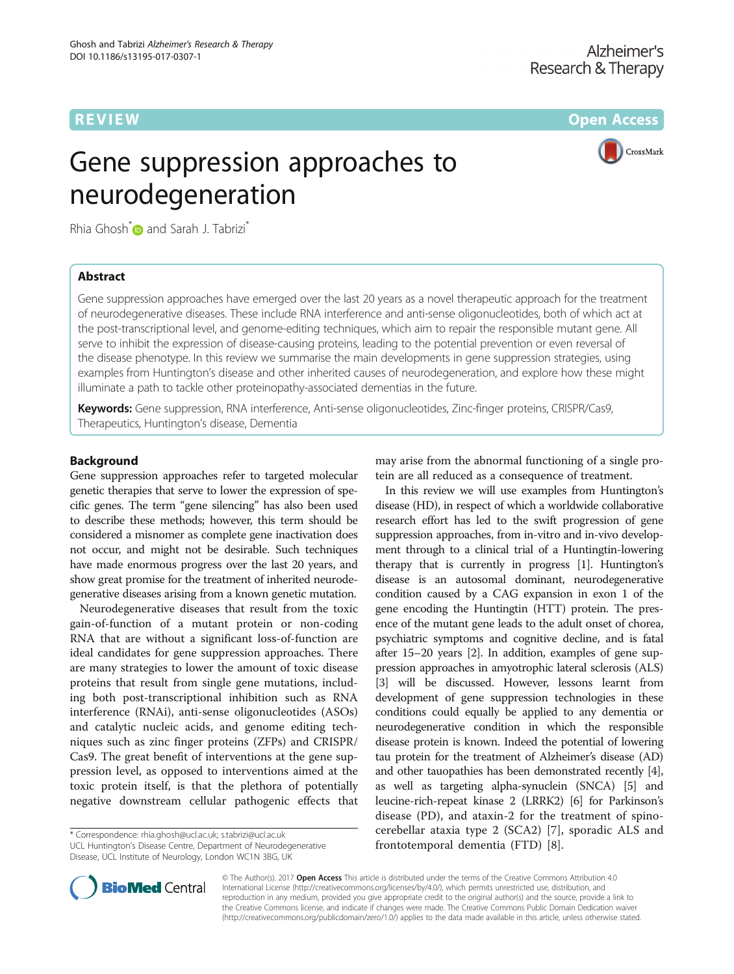REVIEW **REVIEW REVIEW CONSTRUCTER CONSTRUCTS** 

# Gene suppression approaches to neurodegeneration



Rhia Ghosh<sup>[\\*](http://orcid.org/0000-0003-0783-4430)</sup> and Sarah J. Tabrizi<sup>\*</sup>

# Abstract

Gene suppression approaches have emerged over the last 20 years as a novel therapeutic approach for the treatment of neurodegenerative diseases. These include RNA interference and anti-sense oligonucleotides, both of which act at the post-transcriptional level, and genome-editing techniques, which aim to repair the responsible mutant gene. All serve to inhibit the expression of disease-causing proteins, leading to the potential prevention or even reversal of the disease phenotype. In this review we summarise the main developments in gene suppression strategies, using examples from Huntington's disease and other inherited causes of neurodegeneration, and explore how these might illuminate a path to tackle other proteinopathy-associated dementias in the future.

Keywords: Gene suppression, RNA interference, Anti-sense oligonucleotides, Zinc-finger proteins, CRISPR/Cas9, Therapeutics, Huntington's disease, Dementia

#### Background

Gene suppression approaches refer to targeted molecular genetic therapies that serve to lower the expression of specific genes. The term "gene silencing" has also been used to describe these methods; however, this term should be considered a misnomer as complete gene inactivation does not occur, and might not be desirable. Such techniques have made enormous progress over the last 20 years, and show great promise for the treatment of inherited neurodegenerative diseases arising from a known genetic mutation.

Neurodegenerative diseases that result from the toxic gain-of-function of a mutant protein or non-coding RNA that are without a significant loss-of-function are ideal candidates for gene suppression approaches. There are many strategies to lower the amount of toxic disease proteins that result from single gene mutations, including both post-transcriptional inhibition such as RNA interference (RNAi), anti-sense oligonucleotides (ASOs) and catalytic nucleic acids, and genome editing techniques such as zinc finger proteins (ZFPs) and CRISPR/ Cas9. The great benefit of interventions at the gene suppression level, as opposed to interventions aimed at the toxic protein itself, is that the plethora of potentially negative downstream cellular pathogenic effects that

\* Correspondence: [rhia.ghosh@ucl.ac.uk;](mailto:rhia.ghosh@ucl.ac.uk) [s.tabrizi@ucl.ac.uk](mailto:s.tabrizi@ucl.ac.uk)

may arise from the abnormal functioning of a single protein are all reduced as a consequence of treatment.

In this review we will use examples from Huntington's disease (HD), in respect of which a worldwide collaborative research effort has led to the swift progression of gene suppression approaches, from in-vitro and in-vivo development through to a clinical trial of a Huntingtin-lowering therapy that is currently in progress [\[1](#page-10-0)]. Huntington's disease is an autosomal dominant, neurodegenerative condition caused by a CAG expansion in exon 1 of the gene encoding the Huntingtin (HTT) protein. The presence of the mutant gene leads to the adult onset of chorea, psychiatric symptoms and cognitive decline, and is fatal after 15–20 years [\[2\]](#page-10-0). In addition, examples of gene suppression approaches in amyotrophic lateral sclerosis (ALS) [[3](#page-10-0)] will be discussed. However, lessons learnt from development of gene suppression technologies in these conditions could equally be applied to any dementia or neurodegenerative condition in which the responsible disease protein is known. Indeed the potential of lowering tau protein for the treatment of Alzheimer's disease (AD) and other tauopathies has been demonstrated recently [[4](#page-10-0)], as well as targeting alpha-synuclein (SNCA) [\[5\]](#page-10-0) and leucine-rich-repeat kinase 2 (LRRK2) [\[6](#page-10-0)] for Parkinson's disease (PD), and ataxin-2 for the treatment of spinocerebellar ataxia type 2 (SCA2) [\[7](#page-10-0)], sporadic ALS and frontotemporal dementia (FTD) [\[8](#page-10-0)].



© The Author(s). 2017 Open Access This article is distributed under the terms of the Creative Commons Attribution 4.0 International License [\(http://creativecommons.org/licenses/by/4.0/](http://creativecommons.org/licenses/by/4.0/)), which permits unrestricted use, distribution, and reproduction in any medium, provided you give appropriate credit to the original author(s) and the source, provide a link to the Creative Commons license, and indicate if changes were made. The Creative Commons Public Domain Dedication waiver [\(http://creativecommons.org/publicdomain/zero/1.0/](http://creativecommons.org/publicdomain/zero/1.0/)) applies to the data made available in this article, unless otherwise stated.

UCL Huntington's Disease Centre, Department of Neurodegenerative Disease, UCL Institute of Neurology, London WC1N 3BG, UK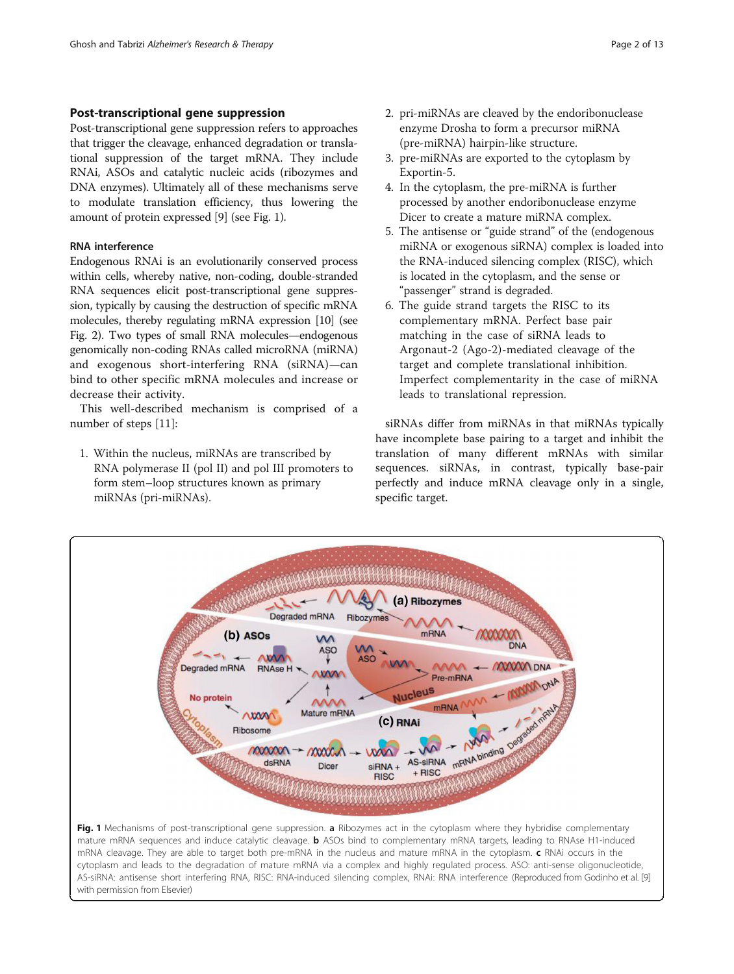#### Post-transcriptional gene suppression

Post-transcriptional gene suppression refers to approaches that trigger the cleavage, enhanced degradation or translational suppression of the target mRNA. They include RNAi, ASOs and catalytic nucleic acids (ribozymes and DNA enzymes). Ultimately all of these mechanisms serve to modulate translation efficiency, thus lowering the amount of protein expressed [\[9\]](#page-10-0) (see Fig. 1).

### RNA interference

Endogenous RNAi is an evolutionarily conserved process within cells, whereby native, non-coding, double-stranded RNA sequences elicit post-transcriptional gene suppression, typically by causing the destruction of specific mRNA molecules, thereby regulating mRNA expression [\[10](#page-10-0)] (see Fig. [2](#page-2-0)). Two types of small RNA molecules—endogenous genomically non-coding RNAs called microRNA (miRNA) and exogenous short-interfering RNA (siRNA)—can bind to other specific mRNA molecules and increase or decrease their activity.

This well-described mechanism is comprised of a number of steps [\[11\]](#page-10-0):

1. Within the nucleus, miRNAs are transcribed by RNA polymerase II (pol II) and pol III promoters to form stem–loop structures known as primary miRNAs (pri-miRNAs).

- 2. pri-miRNAs are cleaved by the endoribonuclease enzyme Drosha to form a precursor miRNA (pre-miRNA) hairpin-like structure.
- 3. pre-miRNAs are exported to the cytoplasm by Exportin-5.
- 4. In the cytoplasm, the pre-miRNA is further processed by another endoribonuclease enzyme Dicer to create a mature miRNA complex.
- 5. The antisense or "guide strand" of the (endogenous miRNA or exogenous siRNA) complex is loaded into the RNA-induced silencing complex (RISC), which is located in the cytoplasm, and the sense or "passenger" strand is degraded.
- 6. The guide strand targets the RISC to its complementary mRNA. Perfect base pair matching in the case of siRNA leads to Argonaut-2 (Ago-2)-mediated cleavage of the target and complete translational inhibition. Imperfect complementarity in the case of miRNA leads to translational repression.

siRNAs differ from miRNAs in that miRNAs typically have incomplete base pairing to a target and inhibit the translation of many different mRNAs with similar sequences. siRNAs, in contrast, typically base-pair perfectly and induce mRNA cleavage only in a single, specific target.



mature mRNA sequences and induce catalytic cleavage. **b** ASOs bind to complementary mRNA targets, leading to RNAse H1-induced mRNA cleavage. They are able to target both pre-mRNA in the nucleus and mature mRNA in the cytoplasm. c RNAi occurs in the cytoplasm and leads to the degradation of mature mRNA via a complex and highly regulated process. ASO: anti-sense oligonucleotide, AS-siRNA: antisense short interfering RNA, RISC: RNA-induced silencing complex, RNAi: RNA interference (Reproduced from Godinho et al. [\[9](#page-10-0)] with permission from Elsevier)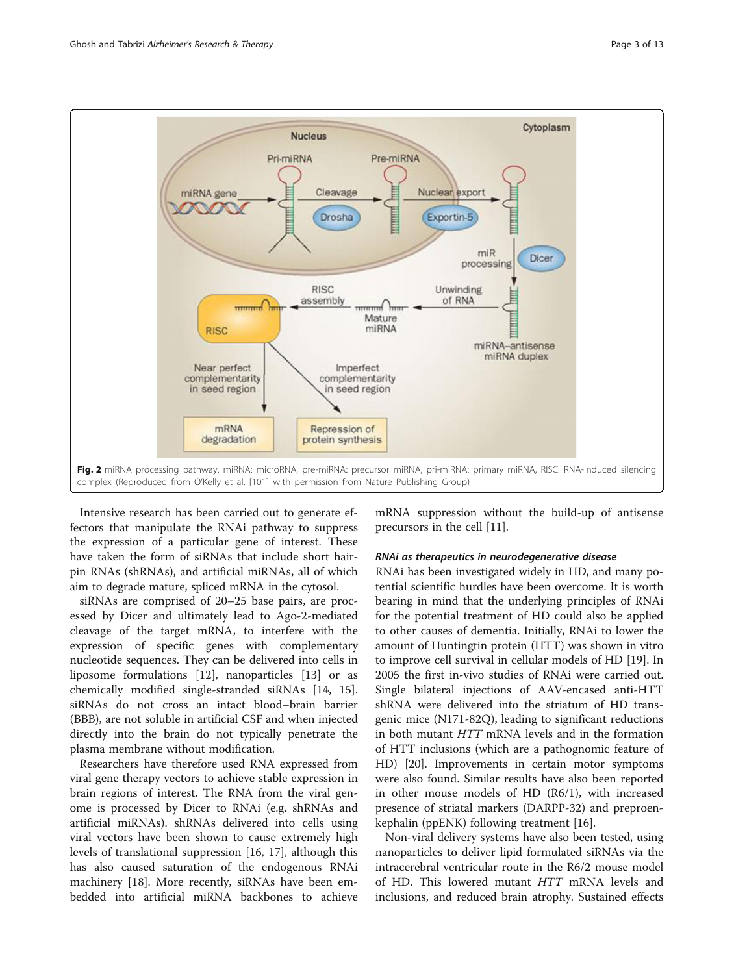<span id="page-2-0"></span>

Intensive research has been carried out to generate effectors that manipulate the RNAi pathway to suppress the expression of a particular gene of interest. These have taken the form of siRNAs that include short hairpin RNAs (shRNAs), and artificial miRNAs, all of which aim to degrade mature, spliced mRNA in the cytosol.

siRNAs are comprised of 20–25 base pairs, are processed by Dicer and ultimately lead to Ago-2-mediated cleavage of the target mRNA, to interfere with the expression of specific genes with complementary nucleotide sequences. They can be delivered into cells in liposome formulations [[12\]](#page-10-0), nanoparticles [[13](#page-10-0)] or as chemically modified single-stranded siRNAs [\[14, 15](#page-10-0)]. siRNAs do not cross an intact blood–brain barrier (BBB), are not soluble in artificial CSF and when injected directly into the brain do not typically penetrate the plasma membrane without modification.

Researchers have therefore used RNA expressed from viral gene therapy vectors to achieve stable expression in brain regions of interest. The RNA from the viral genome is processed by Dicer to RNAi (e.g. shRNAs and artificial miRNAs). shRNAs delivered into cells using viral vectors have been shown to cause extremely high levels of translational suppression [[16](#page-10-0), [17\]](#page-10-0), although this has also caused saturation of the endogenous RNAi machinery [\[18\]](#page-10-0). More recently, siRNAs have been embedded into artificial miRNA backbones to achieve mRNA suppression without the build-up of antisense precursors in the cell [[11\]](#page-10-0).

#### RNAi as therapeutics in neurodegenerative disease

RNAi has been investigated widely in HD, and many potential scientific hurdles have been overcome. It is worth bearing in mind that the underlying principles of RNAi for the potential treatment of HD could also be applied to other causes of dementia. Initially, RNAi to lower the amount of Huntingtin protein (HTT) was shown in vitro to improve cell survival in cellular models of HD [[19\]](#page-10-0). In 2005 the first in-vivo studies of RNAi were carried out. Single bilateral injections of AAV-encased anti-HTT shRNA were delivered into the striatum of HD transgenic mice (N171-82Q), leading to significant reductions in both mutant HTT mRNA levels and in the formation of HTT inclusions (which are a pathognomic feature of HD) [[20](#page-10-0)]. Improvements in certain motor symptoms were also found. Similar results have also been reported in other mouse models of HD (R6/1), with increased presence of striatal markers (DARPP-32) and preproenkephalin (ppENK) following treatment [\[16](#page-10-0)].

Non-viral delivery systems have also been tested, using nanoparticles to deliver lipid formulated siRNAs via the intracerebral ventricular route in the R6/2 mouse model of HD. This lowered mutant HTT mRNA levels and inclusions, and reduced brain atrophy. Sustained effects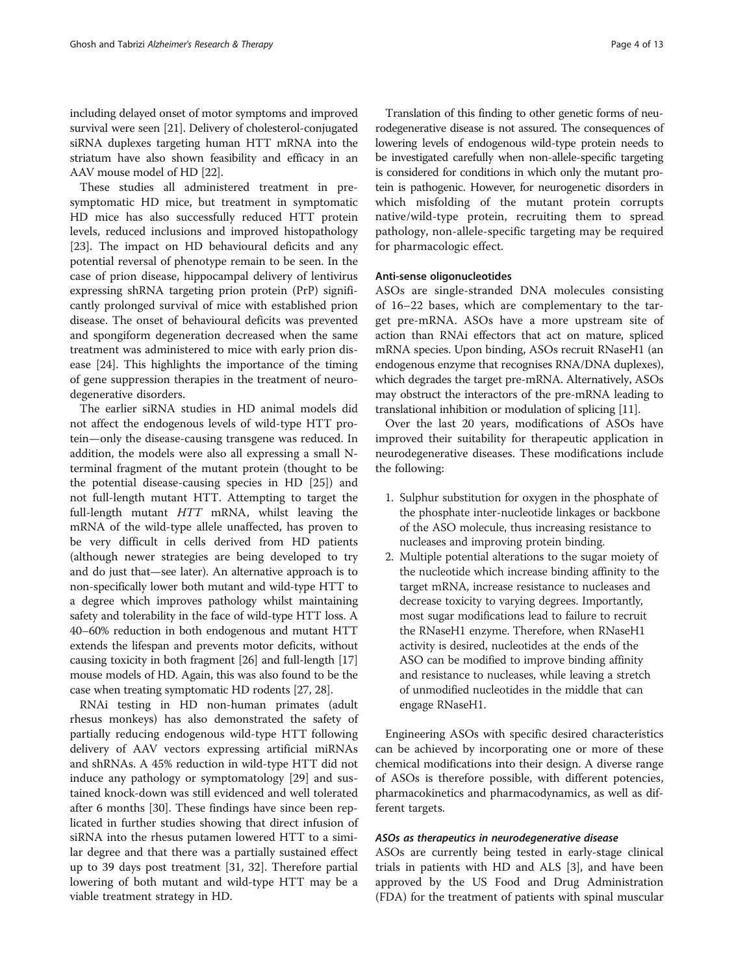including delayed onset of motor symptoms and improved survival were seen [[21](#page-10-0)]. Delivery of cholesterol-conjugated siRNA duplexes targeting human HTT mRNA into the striatum have also shown feasibility and efficacy in an AAV mouse model of HD [\[22](#page-10-0)].

These studies all administered treatment in presymptomatic HD mice, but treatment in symptomatic HD mice has also successfully reduced HTT protein levels, reduced inclusions and improved histopathology [[23\]](#page-10-0). The impact on HD behavioural deficits and any potential reversal of phenotype remain to be seen. In the case of prion disease, hippocampal delivery of lentivirus expressing shRNA targeting prion protein (PrP) significantly prolonged survival of mice with established prion disease. The onset of behavioural deficits was prevented and spongiform degeneration decreased when the same treatment was administered to mice with early prion disease [\[24\]](#page-10-0). This highlights the importance of the timing of gene suppression therapies in the treatment of neurodegenerative disorders.

The earlier siRNA studies in HD animal models did not affect the endogenous levels of wild-type HTT protein—only the disease-causing transgene was reduced. In addition, the models were also all expressing a small Nterminal fragment of the mutant protein (thought to be the potential disease-causing species in HD [\[25\]](#page-11-0)) and not full-length mutant HTT. Attempting to target the full-length mutant HTT mRNA, whilst leaving the mRNA of the wild-type allele unaffected, has proven to be very difficult in cells derived from HD patients (although newer strategies are being developed to try and do just that—see later). An alternative approach is to non-specifically lower both mutant and wild-type HTT to a degree which improves pathology whilst maintaining safety and tolerability in the face of wild-type HTT loss. A 40–60% reduction in both endogenous and mutant HTT extends the lifespan and prevents motor deficits, without causing toxicity in both fragment [[26](#page-11-0)] and full-length [[17](#page-10-0)] mouse models of HD. Again, this was also found to be the case when treating symptomatic HD rodents [\[27, 28](#page-11-0)].

RNAi testing in HD non-human primates (adult rhesus monkeys) has also demonstrated the safety of partially reducing endogenous wild-type HTT following delivery of AAV vectors expressing artificial miRNAs and shRNAs. A 45% reduction in wild-type HTT did not induce any pathology or symptomatology [[29\]](#page-11-0) and sustained knock-down was still evidenced and well tolerated after 6 months [[30\]](#page-11-0). These findings have since been replicated in further studies showing that direct infusion of siRNA into the rhesus putamen lowered HTT to a similar degree and that there was a partially sustained effect up to 39 days post treatment [[31, 32](#page-11-0)]. Therefore partial lowering of both mutant and wild-type HTT may be a viable treatment strategy in HD.

Translation of this finding to other genetic forms of neurodegenerative disease is not assured. The consequences of lowering levels of endogenous wild-type protein needs to be investigated carefully when non-allele-specific targeting is considered for conditions in which only the mutant protein is pathogenic. However, for neurogenetic disorders in which misfolding of the mutant protein corrupts native/wild-type protein, recruiting them to spread pathology, non-allele-specific targeting may be required for pharmacologic effect.

#### Anti-sense oligonucleotides

ASOs are single-stranded DNA molecules consisting of 16–22 bases, which are complementary to the target pre-mRNA. ASOs have a more upstream site of action than RNAi effectors that act on mature, spliced mRNA species. Upon binding, ASOs recruit RNaseH1 (an endogenous enzyme that recognises RNA/DNA duplexes), which degrades the target pre-mRNA. Alternatively, ASOs may obstruct the interactors of the pre-mRNA leading to translational inhibition or modulation of splicing [\[11\]](#page-10-0).

Over the last 20 years, modifications of ASOs have improved their suitability for therapeutic application in neurodegenerative diseases. These modifications include the following:

- 1. Sulphur substitution for oxygen in the phosphate of the phosphate inter-nucleotide linkages or backbone of the ASO molecule, thus increasing resistance to nucleases and improving protein binding.
- 2. Multiple potential alterations to the sugar moiety of the nucleotide which increase binding affinity to the target mRNA, increase resistance to nucleases and decrease toxicity to varying degrees. Importantly, most sugar modifications lead to failure to recruit the RNaseH1 enzyme. Therefore, when RNaseH1 activity is desired, nucleotides at the ends of the ASO can be modified to improve binding affinity and resistance to nucleases, while leaving a stretch of unmodified nucleotides in the middle that can engage RNaseH1.

Engineering ASOs with specific desired characteristics can be achieved by incorporating one or more of these chemical modifications into their design. A diverse range of ASOs is therefore possible, with different potencies, pharmacokinetics and pharmacodynamics, as well as different targets.

### ASOs as therapeutics in neurodegenerative disease

ASOs are currently being tested in early-stage clinical trials in patients with HD and ALS [[3\]](#page-10-0), and have been approved by the US Food and Drug Administration (FDA) for the treatment of patients with spinal muscular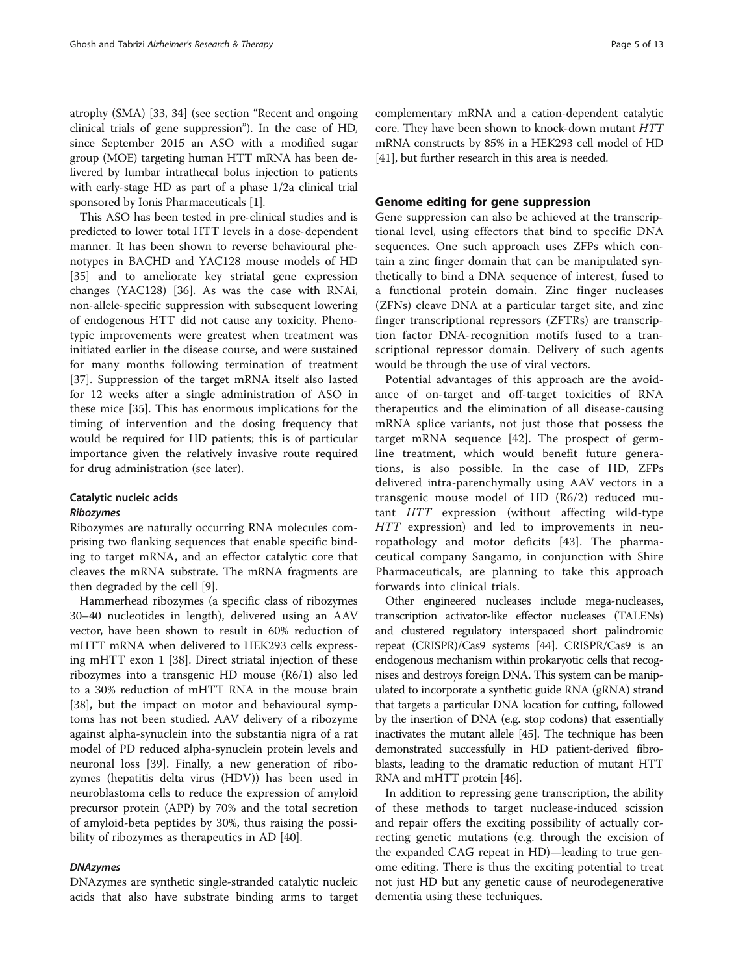atrophy (SMA) [\[33, 34\]](#page-11-0) (see section "[Recent and ongoing](#page-8-0) [clinical trials of gene suppression](#page-8-0)"). In the case of HD, since September 2015 an ASO with a modified sugar group (MOE) targeting human HTT mRNA has been delivered by lumbar intrathecal bolus injection to patients with early-stage HD as part of a phase 1/2a clinical trial sponsored by Ionis Pharmaceuticals [\[1](#page-10-0)].

This ASO has been tested in pre-clinical studies and is predicted to lower total HTT levels in a dose-dependent manner. It has been shown to reverse behavioural phenotypes in BACHD and YAC128 mouse models of HD [[35\]](#page-11-0) and to ameliorate key striatal gene expression changes (YAC128) [[36\]](#page-11-0). As was the case with RNAi, non-allele-specific suppression with subsequent lowering of endogenous HTT did not cause any toxicity. Phenotypic improvements were greatest when treatment was initiated earlier in the disease course, and were sustained for many months following termination of treatment [[37\]](#page-11-0). Suppression of the target mRNA itself also lasted for 12 weeks after a single administration of ASO in these mice [\[35](#page-11-0)]. This has enormous implications for the timing of intervention and the dosing frequency that would be required for HD patients; this is of particular importance given the relatively invasive route required for drug administration (see later).

#### Catalytic nucleic acids Ribozymes

Ribozymes are naturally occurring RNA molecules comprising two flanking sequences that enable specific binding to target mRNA, and an effector catalytic core that cleaves the mRNA substrate. The mRNA fragments are then degraded by the cell [[9](#page-10-0)].

Hammerhead ribozymes (a specific class of ribozymes 30–40 nucleotides in length), delivered using an AAV vector, have been shown to result in 60% reduction of mHTT mRNA when delivered to HEK293 cells expressing mHTT exon 1 [\[38\]](#page-11-0). Direct striatal injection of these ribozymes into a transgenic HD mouse (R6/1) also led to a 30% reduction of mHTT RNA in the mouse brain [[38\]](#page-11-0), but the impact on motor and behavioural symptoms has not been studied. AAV delivery of a ribozyme against alpha-synuclein into the substantia nigra of a rat model of PD reduced alpha-synuclein protein levels and neuronal loss [\[39\]](#page-11-0). Finally, a new generation of ribozymes (hepatitis delta virus (HDV)) has been used in neuroblastoma cells to reduce the expression of amyloid precursor protein (APP) by 70% and the total secretion of amyloid-beta peptides by 30%, thus raising the possibility of ribozymes as therapeutics in AD [\[40](#page-11-0)].

#### DNAzymes

DNAzymes are synthetic single-stranded catalytic nucleic acids that also have substrate binding arms to target complementary mRNA and a cation-dependent catalytic core. They have been shown to knock-down mutant HTT mRNA constructs by 85% in a HEK293 cell model of HD [[41](#page-11-0)], but further research in this area is needed.

#### Genome editing for gene suppression

Gene suppression can also be achieved at the transcriptional level, using effectors that bind to specific DNA sequences. One such approach uses ZFPs which contain a zinc finger domain that can be manipulated synthetically to bind a DNA sequence of interest, fused to a functional protein domain. Zinc finger nucleases (ZFNs) cleave DNA at a particular target site, and zinc finger transcriptional repressors (ZFTRs) are transcription factor DNA-recognition motifs fused to a transcriptional repressor domain. Delivery of such agents would be through the use of viral vectors.

Potential advantages of this approach are the avoidance of on-target and off-target toxicities of RNA therapeutics and the elimination of all disease-causing mRNA splice variants, not just those that possess the target mRNA sequence [[42\]](#page-11-0). The prospect of germline treatment, which would benefit future generations, is also possible. In the case of HD, ZFPs delivered intra-parenchymally using AAV vectors in a transgenic mouse model of HD (R6/2) reduced mutant HTT expression (without affecting wild-type HTT expression) and led to improvements in neuropathology and motor deficits [[43](#page-11-0)]. The pharmaceutical company Sangamo, in conjunction with Shire Pharmaceuticals, are planning to take this approach forwards into clinical trials.

Other engineered nucleases include mega-nucleases, transcription activator-like effector nucleases (TALENs) and clustered regulatory interspaced short palindromic repeat (CRISPR)/Cas9 systems [\[44\]](#page-11-0). CRISPR/Cas9 is an endogenous mechanism within prokaryotic cells that recognises and destroys foreign DNA. This system can be manipulated to incorporate a synthetic guide RNA (gRNA) strand that targets a particular DNA location for cutting, followed by the insertion of DNA (e.g. stop codons) that essentially inactivates the mutant allele [[45](#page-11-0)]. The technique has been demonstrated successfully in HD patient-derived fibroblasts, leading to the dramatic reduction of mutant HTT RNA and mHTT protein [\[46](#page-11-0)].

In addition to repressing gene transcription, the ability of these methods to target nuclease-induced scission and repair offers the exciting possibility of actually correcting genetic mutations (e.g. through the excision of the expanded CAG repeat in HD)—leading to true genome editing. There is thus the exciting potential to treat not just HD but any genetic cause of neurodegenerative dementia using these techniques.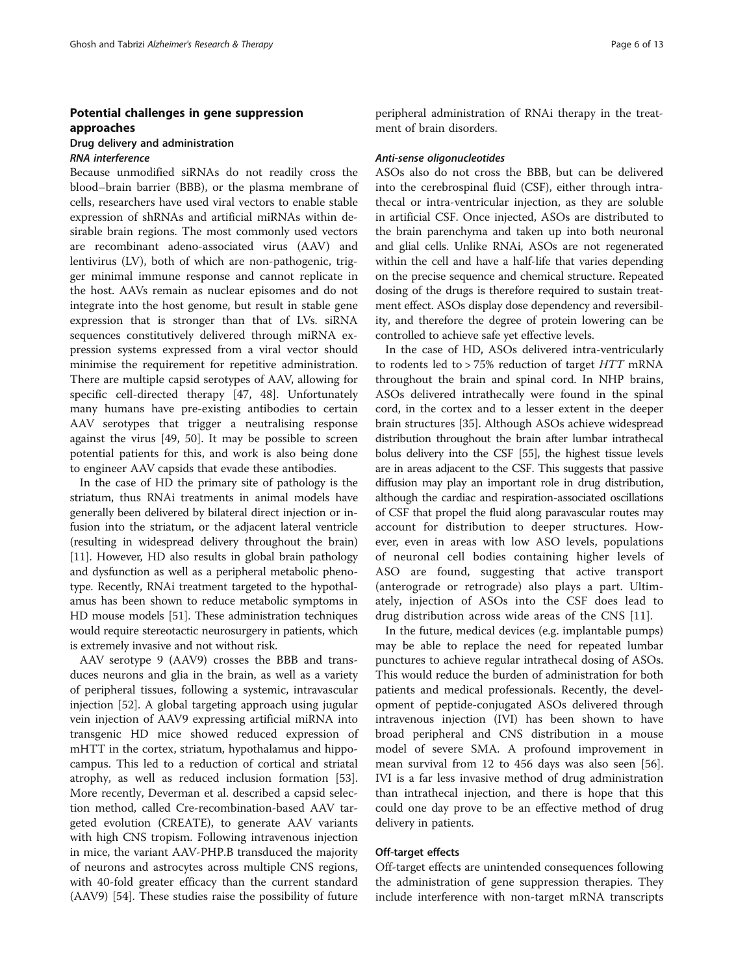# Potential challenges in gene suppression approaches

# Drug delivery and administration

# RNA interference

Because unmodified siRNAs do not readily cross the blood–brain barrier (BBB), or the plasma membrane of cells, researchers have used viral vectors to enable stable expression of shRNAs and artificial miRNAs within desirable brain regions. The most commonly used vectors are recombinant adeno-associated virus (AAV) and lentivirus (LV), both of which are non-pathogenic, trigger minimal immune response and cannot replicate in the host. AAVs remain as nuclear episomes and do not integrate into the host genome, but result in stable gene expression that is stronger than that of LVs. siRNA sequences constitutively delivered through miRNA expression systems expressed from a viral vector should minimise the requirement for repetitive administration. There are multiple capsid serotypes of AAV, allowing for specific cell-directed therapy [\[47](#page-11-0), [48](#page-11-0)]. Unfortunately many humans have pre-existing antibodies to certain AAV serotypes that trigger a neutralising response against the virus [[49, 50\]](#page-11-0). It may be possible to screen potential patients for this, and work is also being done to engineer AAV capsids that evade these antibodies.

In the case of HD the primary site of pathology is the striatum, thus RNAi treatments in animal models have generally been delivered by bilateral direct injection or infusion into the striatum, or the adjacent lateral ventricle (resulting in widespread delivery throughout the brain) [[11](#page-10-0)]. However, HD also results in global brain pathology and dysfunction as well as a peripheral metabolic phenotype. Recently, RNAi treatment targeted to the hypothalamus has been shown to reduce metabolic symptoms in HD mouse models [[51](#page-11-0)]. These administration techniques would require stereotactic neurosurgery in patients, which is extremely invasive and not without risk.

AAV serotype 9 (AAV9) crosses the BBB and transduces neurons and glia in the brain, as well as a variety of peripheral tissues, following a systemic, intravascular injection [[52\]](#page-11-0). A global targeting approach using jugular vein injection of AAV9 expressing artificial miRNA into transgenic HD mice showed reduced expression of mHTT in the cortex, striatum, hypothalamus and hippocampus. This led to a reduction of cortical and striatal atrophy, as well as reduced inclusion formation [\[53](#page-11-0)]. More recently, Deverman et al. described a capsid selection method, called Cre-recombination-based AAV targeted evolution (CREATE), to generate AAV variants with high CNS tropism. Following intravenous injection in mice, the variant AAV-PHP.B transduced the majority of neurons and astrocytes across multiple CNS regions, with 40-fold greater efficacy than the current standard (AAV9) [\[54](#page-11-0)]. These studies raise the possibility of future

peripheral administration of RNAi therapy in the treatment of brain disorders.

#### Anti-sense oligonucleotides

ASOs also do not cross the BBB, but can be delivered into the cerebrospinal fluid (CSF), either through intrathecal or intra-ventricular injection, as they are soluble in artificial CSF. Once injected, ASOs are distributed to the brain parenchyma and taken up into both neuronal and glial cells. Unlike RNAi, ASOs are not regenerated within the cell and have a half-life that varies depending on the precise sequence and chemical structure. Repeated dosing of the drugs is therefore required to sustain treatment effect. ASOs display dose dependency and reversibility, and therefore the degree of protein lowering can be controlled to achieve safe yet effective levels.

In the case of HD, ASOs delivered intra-ventricularly to rodents led to > 75% reduction of target  $HTT$  mRNA throughout the brain and spinal cord. In NHP brains, ASOs delivered intrathecally were found in the spinal cord, in the cortex and to a lesser extent in the deeper brain structures [\[35](#page-11-0)]. Although ASOs achieve widespread distribution throughout the brain after lumbar intrathecal bolus delivery into the CSF [\[55](#page-11-0)], the highest tissue levels are in areas adjacent to the CSF. This suggests that passive diffusion may play an important role in drug distribution, although the cardiac and respiration-associated oscillations of CSF that propel the fluid along paravascular routes may account for distribution to deeper structures. However, even in areas with low ASO levels, populations of neuronal cell bodies containing higher levels of ASO are found, suggesting that active transport (anterograde or retrograde) also plays a part. Ultimately, injection of ASOs into the CSF does lead to drug distribution across wide areas of the CNS [\[11](#page-10-0)].

In the future, medical devices (e.g. implantable pumps) may be able to replace the need for repeated lumbar punctures to achieve regular intrathecal dosing of ASOs. This would reduce the burden of administration for both patients and medical professionals. Recently, the development of peptide-conjugated ASOs delivered through intravenous injection (IVI) has been shown to have broad peripheral and CNS distribution in a mouse model of severe SMA. A profound improvement in mean survival from 12 to 456 days was also seen [\[56](#page-11-0)]. IVI is a far less invasive method of drug administration than intrathecal injection, and there is hope that this could one day prove to be an effective method of drug delivery in patients.

#### Off-target effects

Off-target effects are unintended consequences following the administration of gene suppression therapies. They include interference with non-target mRNA transcripts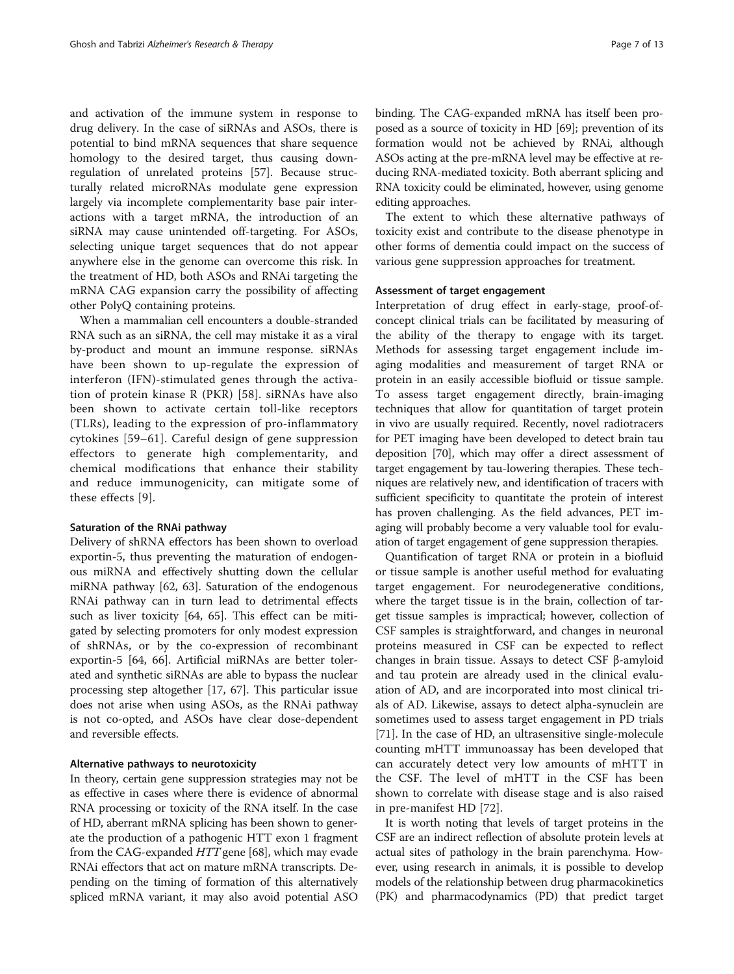and activation of the immune system in response to drug delivery. In the case of siRNAs and ASOs, there is potential to bind mRNA sequences that share sequence homology to the desired target, thus causing downregulation of unrelated proteins [\[57](#page-11-0)]. Because structurally related microRNAs modulate gene expression largely via incomplete complementarity base pair interactions with a target mRNA, the introduction of an siRNA may cause unintended off-targeting. For ASOs, selecting unique target sequences that do not appear anywhere else in the genome can overcome this risk. In the treatment of HD, both ASOs and RNAi targeting the mRNA CAG expansion carry the possibility of affecting other PolyQ containing proteins.

When a mammalian cell encounters a double-stranded RNA such as an siRNA, the cell may mistake it as a viral by-product and mount an immune response. siRNAs have been shown to up-regulate the expression of interferon (IFN)-stimulated genes through the activation of protein kinase R (PKR) [\[58](#page-11-0)]. siRNAs have also been shown to activate certain toll-like receptors (TLRs), leading to the expression of pro-inflammatory cytokines [[59](#page-11-0)–[61](#page-11-0)]. Careful design of gene suppression effectors to generate high complementarity, and chemical modifications that enhance their stability and reduce immunogenicity, can mitigate some of these effects [\[9](#page-10-0)].

#### Saturation of the RNAi pathway

Delivery of shRNA effectors has been shown to overload exportin-5, thus preventing the maturation of endogenous miRNA and effectively shutting down the cellular miRNA pathway [\[62](#page-11-0), [63\]](#page-11-0). Saturation of the endogenous RNAi pathway can in turn lead to detrimental effects such as liver toxicity [[64](#page-11-0), [65\]](#page-11-0). This effect can be mitigated by selecting promoters for only modest expression of shRNAs, or by the co-expression of recombinant exportin-5 [\[64](#page-11-0), [66](#page-11-0)]. Artificial miRNAs are better tolerated and synthetic siRNAs are able to bypass the nuclear processing step altogether [\[17](#page-10-0), [67\]](#page-11-0). This particular issue does not arise when using ASOs, as the RNAi pathway is not co-opted, and ASOs have clear dose-dependent and reversible effects.

#### Alternative pathways to neurotoxicity

In theory, certain gene suppression strategies may not be as effective in cases where there is evidence of abnormal RNA processing or toxicity of the RNA itself. In the case of HD, aberrant mRNA splicing has been shown to generate the production of a pathogenic HTT exon 1 fragment from the CAG-expanded HTT gene [[68](#page-11-0)], which may evade RNAi effectors that act on mature mRNA transcripts. Depending on the timing of formation of this alternatively spliced mRNA variant, it may also avoid potential ASO binding. The CAG-expanded mRNA has itself been proposed as a source of toxicity in HD [\[69\]](#page-11-0); prevention of its formation would not be achieved by RNAi, although ASOs acting at the pre-mRNA level may be effective at reducing RNA-mediated toxicity. Both aberrant splicing and RNA toxicity could be eliminated, however, using genome editing approaches.

The extent to which these alternative pathways of toxicity exist and contribute to the disease phenotype in other forms of dementia could impact on the success of various gene suppression approaches for treatment.

#### Assessment of target engagement

Interpretation of drug effect in early-stage, proof-ofconcept clinical trials can be facilitated by measuring of the ability of the therapy to engage with its target. Methods for assessing target engagement include imaging modalities and measurement of target RNA or protein in an easily accessible biofluid or tissue sample. To assess target engagement directly, brain-imaging techniques that allow for quantitation of target protein in vivo are usually required. Recently, novel radiotracers for PET imaging have been developed to detect brain tau deposition [[70\]](#page-11-0), which may offer a direct assessment of target engagement by tau-lowering therapies. These techniques are relatively new, and identification of tracers with sufficient specificity to quantitate the protein of interest has proven challenging. As the field advances, PET imaging will probably become a very valuable tool for evaluation of target engagement of gene suppression therapies.

Quantification of target RNA or protein in a biofluid or tissue sample is another useful method for evaluating target engagement. For neurodegenerative conditions, where the target tissue is in the brain, collection of target tissue samples is impractical; however, collection of CSF samples is straightforward, and changes in neuronal proteins measured in CSF can be expected to reflect changes in brain tissue. Assays to detect CSF β-amyloid and tau protein are already used in the clinical evaluation of AD, and are incorporated into most clinical trials of AD. Likewise, assays to detect alpha-synuclein are sometimes used to assess target engagement in PD trials [[71\]](#page-11-0). In the case of HD, an ultrasensitive single-molecule counting mHTT immunoassay has been developed that can accurately detect very low amounts of mHTT in the CSF. The level of mHTT in the CSF has been shown to correlate with disease stage and is also raised in pre-manifest HD [[72\]](#page-11-0).

It is worth noting that levels of target proteins in the CSF are an indirect reflection of absolute protein levels at actual sites of pathology in the brain parenchyma. However, using research in animals, it is possible to develop models of the relationship between drug pharmacokinetics (PK) and pharmacodynamics (PD) that predict target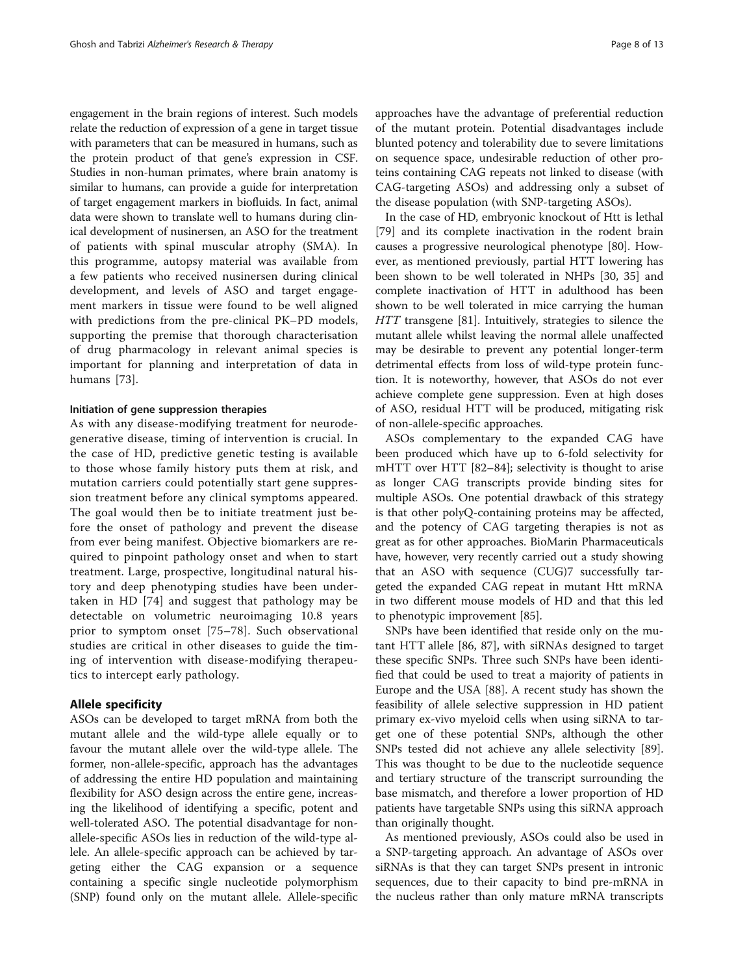engagement in the brain regions of interest. Such models relate the reduction of expression of a gene in target tissue with parameters that can be measured in humans, such as the protein product of that gene's expression in CSF. Studies in non-human primates, where brain anatomy is similar to humans, can provide a guide for interpretation of target engagement markers in biofluids. In fact, animal data were shown to translate well to humans during clinical development of nusinersen, an ASO for the treatment of patients with spinal muscular atrophy (SMA). In this programme, autopsy material was available from a few patients who received nusinersen during clinical development, and levels of ASO and target engagement markers in tissue were found to be well aligned with predictions from the pre-clinical PK–PD models, supporting the premise that thorough characterisation of drug pharmacology in relevant animal species is important for planning and interpretation of data in humans [[73\]](#page-11-0).

#### Initiation of gene suppression therapies

As with any disease-modifying treatment for neurodegenerative disease, timing of intervention is crucial. In the case of HD, predictive genetic testing is available to those whose family history puts them at risk, and mutation carriers could potentially start gene suppression treatment before any clinical symptoms appeared. The goal would then be to initiate treatment just before the onset of pathology and prevent the disease from ever being manifest. Objective biomarkers are required to pinpoint pathology onset and when to start treatment. Large, prospective, longitudinal natural history and deep phenotyping studies have been undertaken in HD [\[74](#page-11-0)] and suggest that pathology may be detectable on volumetric neuroimaging 10.8 years prior to symptom onset [[75](#page-11-0)–[78\]](#page-12-0). Such observational studies are critical in other diseases to guide the timing of intervention with disease-modifying therapeutics to intercept early pathology.

#### Allele specificity

ASOs can be developed to target mRNA from both the mutant allele and the wild-type allele equally or to favour the mutant allele over the wild-type allele. The former, non-allele-specific, approach has the advantages of addressing the entire HD population and maintaining flexibility for ASO design across the entire gene, increasing the likelihood of identifying a specific, potent and well-tolerated ASO. The potential disadvantage for nonallele-specific ASOs lies in reduction of the wild-type allele. An allele-specific approach can be achieved by targeting either the CAG expansion or a sequence containing a specific single nucleotide polymorphism (SNP) found only on the mutant allele. Allele-specific approaches have the advantage of preferential reduction of the mutant protein. Potential disadvantages include blunted potency and tolerability due to severe limitations on sequence space, undesirable reduction of other proteins containing CAG repeats not linked to disease (with CAG-targeting ASOs) and addressing only a subset of the disease population (with SNP-targeting ASOs).

In the case of HD, embryonic knockout of Htt is lethal [[79\]](#page-12-0) and its complete inactivation in the rodent brain causes a progressive neurological phenotype [\[80](#page-12-0)]. However, as mentioned previously, partial HTT lowering has been shown to be well tolerated in NHPs [\[30, 35](#page-11-0)] and complete inactivation of HTT in adulthood has been shown to be well tolerated in mice carrying the human HTT transgene [[81](#page-12-0)]. Intuitively, strategies to silence the mutant allele whilst leaving the normal allele unaffected may be desirable to prevent any potential longer-term detrimental effects from loss of wild-type protein function. It is noteworthy, however, that ASOs do not ever achieve complete gene suppression. Even at high doses of ASO, residual HTT will be produced, mitigating risk of non-allele-specific approaches.

ASOs complementary to the expanded CAG have been produced which have up to 6-fold selectivity for mHTT over HTT [\[82](#page-12-0)–[84\]](#page-12-0); selectivity is thought to arise as longer CAG transcripts provide binding sites for multiple ASOs. One potential drawback of this strategy is that other polyQ-containing proteins may be affected, and the potency of CAG targeting therapies is not as great as for other approaches. BioMarin Pharmaceuticals have, however, very recently carried out a study showing that an ASO with sequence (CUG)7 successfully targeted the expanded CAG repeat in mutant Htt mRNA in two different mouse models of HD and that this led to phenotypic improvement [\[85\]](#page-12-0).

SNPs have been identified that reside only on the mutant HTT allele [[86, 87](#page-12-0)], with siRNAs designed to target these specific SNPs. Three such SNPs have been identified that could be used to treat a majority of patients in Europe and the USA [[88\]](#page-12-0). A recent study has shown the feasibility of allele selective suppression in HD patient primary ex-vivo myeloid cells when using siRNA to target one of these potential SNPs, although the other SNPs tested did not achieve any allele selectivity [\[89](#page-12-0)]. This was thought to be due to the nucleotide sequence and tertiary structure of the transcript surrounding the base mismatch, and therefore a lower proportion of HD patients have targetable SNPs using this siRNA approach than originally thought.

As mentioned previously, ASOs could also be used in a SNP-targeting approach. An advantage of ASOs over siRNAs is that they can target SNPs present in intronic sequences, due to their capacity to bind pre-mRNA in the nucleus rather than only mature mRNA transcripts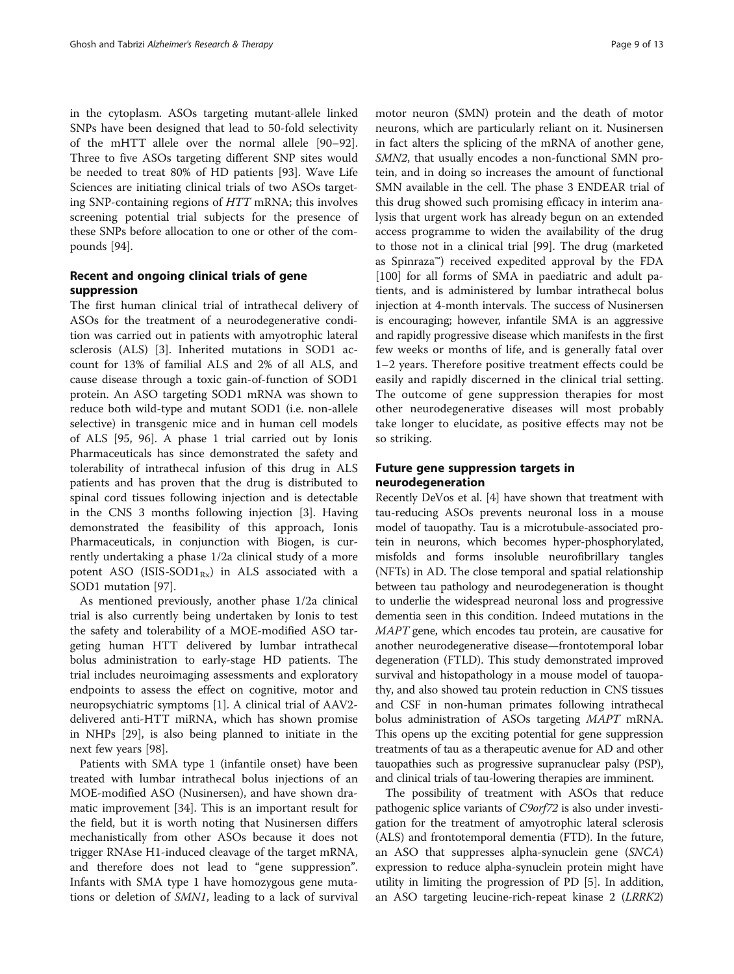<span id="page-8-0"></span>in the cytoplasm. ASOs targeting mutant-allele linked SNPs have been designed that lead to 50-fold selectivity of the mHTT allele over the normal allele [[90](#page-12-0)–[92](#page-12-0)]. Three to five ASOs targeting different SNP sites would be needed to treat 80% of HD patients [[93\]](#page-12-0). Wave Life Sciences are initiating clinical trials of two ASOs targeting SNP-containing regions of HTT mRNA; this involves screening potential trial subjects for the presence of these SNPs before allocation to one or other of the compounds [[94\]](#page-12-0).

# Recent and ongoing clinical trials of gene suppression

The first human clinical trial of intrathecal delivery of ASOs for the treatment of a neurodegenerative condition was carried out in patients with amyotrophic lateral sclerosis (ALS) [[3\]](#page-10-0). Inherited mutations in SOD1 account for 13% of familial ALS and 2% of all ALS, and cause disease through a toxic gain-of-function of SOD1 protein. An ASO targeting SOD1 mRNA was shown to reduce both wild-type and mutant SOD1 (i.e. non-allele selective) in transgenic mice and in human cell models of ALS [\[95](#page-12-0), [96](#page-12-0)]. A phase 1 trial carried out by Ionis Pharmaceuticals has since demonstrated the safety and tolerability of intrathecal infusion of this drug in ALS patients and has proven that the drug is distributed to spinal cord tissues following injection and is detectable in the CNS 3 months following injection [\[3\]](#page-10-0). Having demonstrated the feasibility of this approach, Ionis Pharmaceuticals, in conjunction with Biogen, is currently undertaking a phase 1/2a clinical study of a more potent ASO (ISIS-SOD $1_{Rx}$ ) in ALS associated with a SOD1 mutation [[97\]](#page-12-0).

As mentioned previously, another phase 1/2a clinical trial is also currently being undertaken by Ionis to test the safety and tolerability of a MOE-modified ASO targeting human HTT delivered by lumbar intrathecal bolus administration to early-stage HD patients. The trial includes neuroimaging assessments and exploratory endpoints to assess the effect on cognitive, motor and neuropsychiatric symptoms [[1\]](#page-10-0). A clinical trial of AAV2 delivered anti-HTT miRNA, which has shown promise in NHPs [[29\]](#page-11-0), is also being planned to initiate in the next few years [\[98](#page-12-0)].

Patients with SMA type 1 (infantile onset) have been treated with lumbar intrathecal bolus injections of an MOE-modified ASO (Nusinersen), and have shown dramatic improvement [\[34](#page-11-0)]. This is an important result for the field, but it is worth noting that Nusinersen differs mechanistically from other ASOs because it does not trigger RNAse H1-induced cleavage of the target mRNA, and therefore does not lead to "gene suppression". Infants with SMA type 1 have homozygous gene mutations or deletion of SMN1, leading to a lack of survival

motor neuron (SMN) protein and the death of motor neurons, which are particularly reliant on it. Nusinersen in fact alters the splicing of the mRNA of another gene, SMN2, that usually encodes a non-functional SMN protein, and in doing so increases the amount of functional SMN available in the cell. The phase 3 ENDEAR trial of this drug showed such promising efficacy in interim analysis that urgent work has already begun on an extended access programme to widen the availability of the drug to those not in a clinical trial [[99](#page-12-0)]. The drug (marketed as Spinraza™) received expedited approval by the FDA [[100\]](#page-12-0) for all forms of SMA in paediatric and adult patients, and is administered by lumbar intrathecal bolus injection at 4-month intervals. The success of Nusinersen is encouraging; however, infantile SMA is an aggressive and rapidly progressive disease which manifests in the first few weeks or months of life, and is generally fatal over 1–2 years. Therefore positive treatment effects could be easily and rapidly discerned in the clinical trial setting. The outcome of gene suppression therapies for most other neurodegenerative diseases will most probably take longer to elucidate, as positive effects may not be so striking.

# Future gene suppression targets in neurodegeneration

Recently DeVos et al. [[4](#page-10-0)] have shown that treatment with tau-reducing ASOs prevents neuronal loss in a mouse model of tauopathy. Tau is a microtubule-associated protein in neurons, which becomes hyper-phosphorylated, misfolds and forms insoluble neurofibrillary tangles (NFTs) in AD. The close temporal and spatial relationship between tau pathology and neurodegeneration is thought to underlie the widespread neuronal loss and progressive dementia seen in this condition. Indeed mutations in the MAPT gene, which encodes tau protein, are causative for another neurodegenerative disease—frontotemporal lobar degeneration (FTLD). This study demonstrated improved survival and histopathology in a mouse model of tauopathy, and also showed tau protein reduction in CNS tissues and CSF in non-human primates following intrathecal bolus administration of ASOs targeting MAPT mRNA. This opens up the exciting potential for gene suppression treatments of tau as a therapeutic avenue for AD and other tauopathies such as progressive supranuclear palsy (PSP), and clinical trials of tau-lowering therapies are imminent.

The possibility of treatment with ASOs that reduce pathogenic splice variants of C9orf72 is also under investigation for the treatment of amyotrophic lateral sclerosis (ALS) and frontotemporal dementia (FTD). In the future, an ASO that suppresses alpha-synuclein gene (SNCA) expression to reduce alpha-synuclein protein might have utility in limiting the progression of PD [\[5\]](#page-10-0). In addition, an ASO targeting leucine-rich-repeat kinase 2 (LRRK2)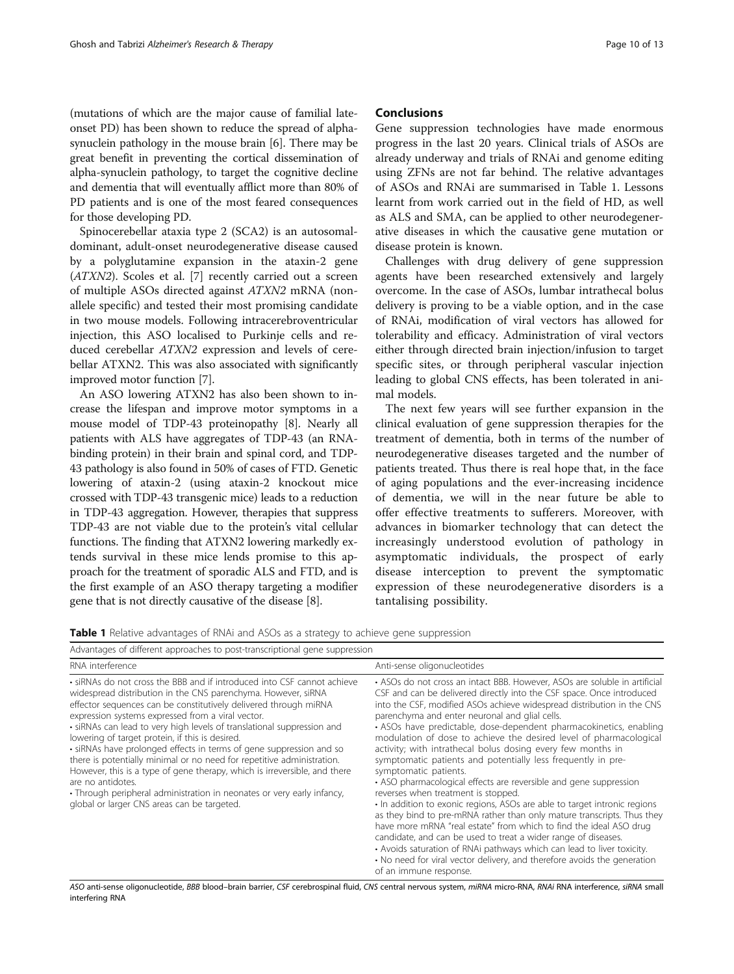(mutations of which are the major cause of familial lateonset PD) has been shown to reduce the spread of alphasynuclein pathology in the mouse brain [[6\]](#page-10-0). There may be great benefit in preventing the cortical dissemination of alpha-synuclein pathology, to target the cognitive decline and dementia that will eventually afflict more than 80% of PD patients and is one of the most feared consequences for those developing PD.

Spinocerebellar ataxia type 2 (SCA2) is an autosomaldominant, adult-onset neurodegenerative disease caused by a polyglutamine expansion in the ataxin-2 gene (ATXN2). Scoles et al. [\[7](#page-10-0)] recently carried out a screen of multiple ASOs directed against ATXN2 mRNA (nonallele specific) and tested their most promising candidate in two mouse models. Following intracerebroventricular injection, this ASO localised to Purkinje cells and reduced cerebellar ATXN2 expression and levels of cerebellar ATXN2. This was also associated with significantly improved motor function [\[7](#page-10-0)].

An ASO lowering ATXN2 has also been shown to increase the lifespan and improve motor symptoms in a mouse model of TDP-43 proteinopathy [\[8\]](#page-10-0). Nearly all patients with ALS have aggregates of TDP-43 (an RNAbinding protein) in their brain and spinal cord, and TDP-43 pathology is also found in 50% of cases of FTD. Genetic lowering of ataxin-2 (using ataxin-2 knockout mice crossed with TDP-43 transgenic mice) leads to a reduction in TDP-43 aggregation. However, therapies that suppress TDP-43 are not viable due to the protein's vital cellular functions. The finding that ATXN2 lowering markedly extends survival in these mice lends promise to this approach for the treatment of sporadic ALS and FTD, and is the first example of an ASO therapy targeting a modifier gene that is not directly causative of the disease [[8\]](#page-10-0).

#### **Conclusions**

Gene suppression technologies have made enormous progress in the last 20 years. Clinical trials of ASOs are already underway and trials of RNAi and genome editing using ZFNs are not far behind. The relative advantages of ASOs and RNAi are summarised in Table 1. Lessons learnt from work carried out in the field of HD, as well as ALS and SMA, can be applied to other neurodegenerative diseases in which the causative gene mutation or disease protein is known.

Challenges with drug delivery of gene suppression agents have been researched extensively and largely overcome. In the case of ASOs, lumbar intrathecal bolus delivery is proving to be a viable option, and in the case of RNAi, modification of viral vectors has allowed for tolerability and efficacy. Administration of viral vectors either through directed brain injection/infusion to target specific sites, or through peripheral vascular injection leading to global CNS effects, has been tolerated in animal models.

The next few years will see further expansion in the clinical evaluation of gene suppression therapies for the treatment of dementia, both in terms of the number of neurodegenerative diseases targeted and the number of patients treated. Thus there is real hope that, in the face of aging populations and the ever-increasing incidence of dementia, we will in the near future be able to offer effective treatments to sufferers. Moreover, with advances in biomarker technology that can detect the increasingly understood evolution of pathology in asymptomatic individuals, the prospect of early disease interception to prevent the symptomatic expression of these neurodegenerative disorders is a tantalising possibility.

**Table 1** Relative advantages of RNAi and ASOs as a strategy to achieve gene suppression

Advantages of different approaches to post-transcriptional gene suppression

| RNA interference                                                                                                                                                                                                                                                                                                                                                                                                                                                                                                                                                                                                                                                                                                                                                           | Anti-sense oligonucleotides                                                                                                                                                                                                                                                                                                                                                                                                                                                                                                                                                                                                                                                                                                                                                                                                                                                                                                                                                                                                                                                                                                                                                     |
|----------------------------------------------------------------------------------------------------------------------------------------------------------------------------------------------------------------------------------------------------------------------------------------------------------------------------------------------------------------------------------------------------------------------------------------------------------------------------------------------------------------------------------------------------------------------------------------------------------------------------------------------------------------------------------------------------------------------------------------------------------------------------|---------------------------------------------------------------------------------------------------------------------------------------------------------------------------------------------------------------------------------------------------------------------------------------------------------------------------------------------------------------------------------------------------------------------------------------------------------------------------------------------------------------------------------------------------------------------------------------------------------------------------------------------------------------------------------------------------------------------------------------------------------------------------------------------------------------------------------------------------------------------------------------------------------------------------------------------------------------------------------------------------------------------------------------------------------------------------------------------------------------------------------------------------------------------------------|
| • siRNAs do not cross the BBB and if introduced into CSF cannot achieve<br>widespread distribution in the CNS parenchyma. However, siRNA<br>effector sequences can be constitutively delivered through miRNA<br>expression systems expressed from a viral vector.<br>• siRNAs can lead to very high levels of translational suppression and<br>lowering of target protein, if this is desired.<br>• siRNAs have prolonged effects in terms of gene suppression and so<br>there is potentially minimal or no need for repetitive administration.<br>However, this is a type of gene therapy, which is irreversible, and there<br>are no antidotes.<br>• Through peripheral administration in neonates or very early infancy,<br>global or larger CNS areas can be targeted. | • ASOs do not cross an intact BBB. However, ASOs are soluble in artificial<br>CSF and can be delivered directly into the CSF space. Once introduced<br>into the CSF, modified ASOs achieve widespread distribution in the CNS<br>parenchyma and enter neuronal and glial cells.<br>• ASOs have predictable, dose-dependent pharmacokinetics, enabling<br>modulation of dose to achieve the desired level of pharmacological<br>activity; with intrathecal bolus dosing every few months in<br>symptomatic patients and potentially less frequently in pre-<br>symptomatic patients.<br>• ASO pharmacological effects are reversible and gene suppression<br>reverses when treatment is stopped.<br>• In addition to exonic regions, ASOs are able to target intronic regions<br>as they bind to pre-mRNA rather than only mature transcripts. Thus they<br>have more mRNA "real estate" from which to find the ideal ASO drug<br>candidate, and can be used to treat a wider range of diseases.<br>• Avoids saturation of RNAi pathways which can lead to liver toxicity.<br>• No need for viral vector delivery, and therefore avoids the generation<br>of an immune response. |

ASO anti-sense oligonucleotide, BBB blood-brain barrier, CSF cerebrospinal fluid, CNS central nervous system, miRNA micro-RNA, RNAi RNA interference, siRNA small interfering RNA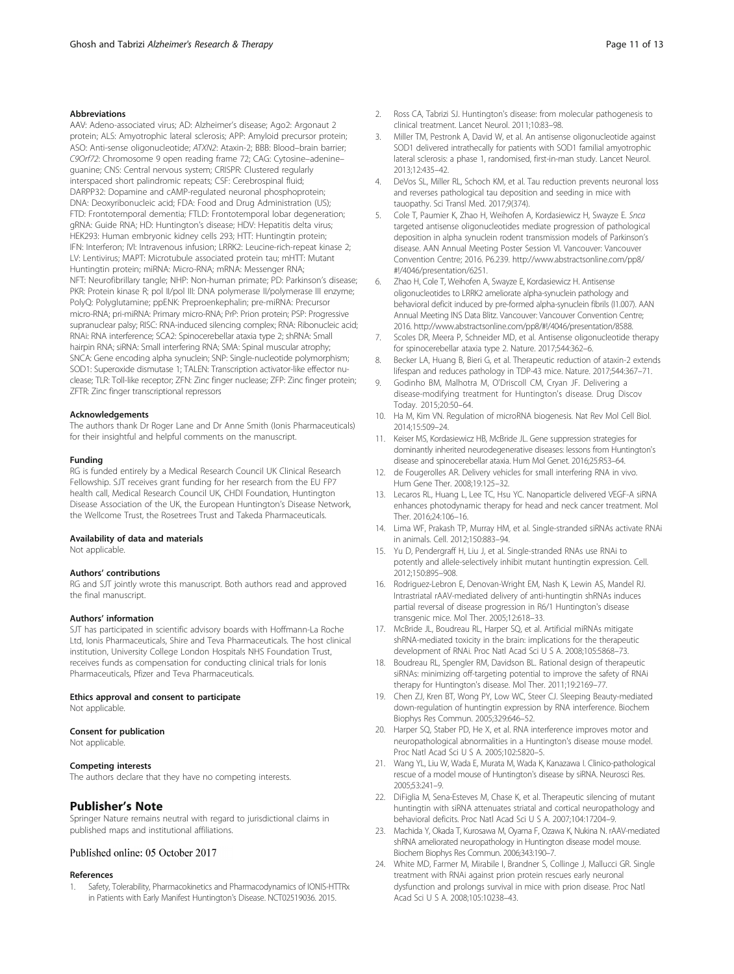#### <span id="page-10-0"></span>Abbreviations

AAV: Adeno-associated virus; AD: Alzheimer's disease; Ago2: Argonaut 2 protein; ALS: Amyotrophic lateral sclerosis; APP: Amyloid precursor protein; ASO: Anti-sense oligonucleotide; ATXN2: Ataxin-2; BBB: Blood–brain barrier; C9Orf72: Chromosome 9 open reading frame 72; CAG: Cytosine–adenine– guanine; CNS: Central nervous system; CRISPR: Clustered regularly interspaced short palindromic repeats; CSF: Cerebrospinal fluid; DARPP32: Dopamine and cAMP-regulated neuronal phosphoprotein; DNA: Deoxyribonucleic acid; FDA: Food and Drug Administration (US); FTD: Frontotemporal dementia; FTLD: Frontotemporal lobar degeneration; gRNA: Guide RNA; HD: Huntington's disease; HDV: Hepatitis delta virus; HEK293: Human embryonic kidney cells 293; HTT: Huntingtin protein; IFN: Interferon; IVI: Intravenous infusion; LRRK2: Leucine-rich-repeat kinase 2; LV: Lentivirus; MAPT: Microtubule associated protein tau; mHTT: Mutant Huntingtin protein; miRNA: Micro-RNA; mRNA: Messenger RNA; NFT: Neurofibrillary tangle; NHP: Non-human primate; PD: Parkinson's disease; PKR: Protein kinase R; pol II/pol III: DNA polymerase II/polymerase III enzyme; PolyQ: Polyglutamine; ppENK: Preproenkephalin; pre-miRNA: Precursor micro-RNA; pri-miRNA: Primary micro-RNA; PrP: Prion protein; PSP: Progressive supranuclear palsy; RISC: RNA-induced silencing complex; RNA: Ribonucleic acid; RNAi: RNA interference; SCA2: Spinocerebellar ataxia type 2; shRNA: Small hairpin RNA; siRNA: Small interfering RNA; SMA: Spinal muscular atrophy; SNCA: Gene encoding alpha synuclein; SNP: Single-nucleotide polymorphism; SOD1: Superoxide dismutase 1; TALEN: Transcription activator-like effector nuclease; TLR: Toll-like receptor; ZFN: Zinc finger nuclease; ZFP: Zinc finger protein; ZFTR: Zinc finger transcriptional repressors

#### Acknowledgements

The authors thank Dr Roger Lane and Dr Anne Smith (Ionis Pharmaceuticals) for their insightful and helpful comments on the manuscript.

#### Funding

RG is funded entirely by a Medical Research Council UK Clinical Research Fellowship. SJT receives grant funding for her research from the EU FP7 health call, Medical Research Council UK, CHDI Foundation, Huntington Disease Association of the UK, the European Huntington's Disease Network, the Wellcome Trust, the Rosetrees Trust and Takeda Pharmaceuticals.

#### Availability of data and materials

Not applicable

#### Authors' contributions

RG and SJT jointly wrote this manuscript. Both authors read and approved the final manuscript.

#### Authors' information

SJT has participated in scientific advisory boards with Hoffmann-La Roche Ltd, Ionis Pharmaceuticals, Shire and Teva Pharmaceuticals. The host clinical institution, University College London Hospitals NHS Foundation Trust, receives funds as compensation for conducting clinical trials for Ionis Pharmaceuticals, Pfizer and Teva Pharmaceuticals.

#### Ethics approval and consent to participate

Not applicable.

#### Consent for publication

Not applicable.

#### Competing interests

The authors declare that they have no competing interests.

#### Publisher's Note

Springer Nature remains neutral with regard to jurisdictional claims in published maps and institutional affiliations.

#### Published online: 05 October 2017

#### References

1. Safety, Tolerability, Pharmacokinetics and Pharmacodynamics of IONIS-HTTRx in Patients with Early Manifest Huntington's Disease. [NCT02519036.](http://clinicaltrials.gov/ct2/show/NCT02519036) 2015.

- 2. Ross CA, Tabrizi SJ. Huntington's disease: from molecular pathogenesis to clinical treatment. Lancet Neurol. 2011;10:83–98.
- 3. Miller TM, Pestronk A, David W, et al. An antisense oligonucleotide against SOD1 delivered intrathecally for patients with SOD1 familial amyotrophic lateral sclerosis: a phase 1, randomised, first-in-man study. Lancet Neurol. 2013;12:435–42.
- 4. DeVos SL, Miller RL, Schoch KM, et al. Tau reduction prevents neuronal loss and reverses pathological tau deposition and seeding in mice with tauopathy. Sci Transl Med. 2017;9(374).
- 5. Cole T, Paumier K, Zhao H, Weihofen A, Kordasiewicz H, Swayze E. Snca targeted antisense oligonucleotides mediate progression of pathological deposition in alpha synuclein rodent transmission models of Parkinson's disease. AAN Annual Meeting Poster Session VI. Vancouver: Vancouver Convention Centre; 2016. P6.239. [http://www.abstractsonline.com/pp8/](http://www.abstractsonline.com/pp8/#!/4046/presentation/6251) [#!/4046/presentation/6251.](http://www.abstractsonline.com/pp8/#!/4046/presentation/6251)
- Zhao H, Cole T, Weihofen A, Swayze E, Kordasiewicz H. Antisense oligonucleotides to LRRK2 ameliorate alpha-synuclein pathology and behavioral deficit induced by pre-formed alpha-synuclein fibrils (I1.007). AAN Annual Meeting INS Data Blitz. Vancouver: Vancouver Convention Centre; 2016. [http://www.abstractsonline.com/pp8/#!/4046/presentation/8588.](http://www.abstractsonline.com/pp8/#!/4046/presentation/8588)
- 7. Scoles DR, Meera P, Schneider MD, et al. Antisense oligonucleotide therapy for spinocerebellar ataxia type 2. Nature. 2017;544:362–6.
- 8. Becker LA, Huang B, Bieri G, et al. Therapeutic reduction of ataxin-2 extends lifespan and reduces pathology in TDP-43 mice. Nature. 2017;544:367–71.
- 9. Godinho BM, Malhotra M, O'Driscoll CM, Cryan JF. Delivering a disease-modifying treatment for Huntington's disease. Drug Discov Today. 2015;20:50–64.
- 10. Ha M, Kim VN. Regulation of microRNA biogenesis. Nat Rev Mol Cell Biol. 2014;15:509–24.
- 11. Keiser MS, Kordasiewicz HB, McBride JL. Gene suppression strategies for dominantly inherited neurodegenerative diseases: lessons from Huntington's disease and spinocerebellar ataxia. Hum Mol Genet. 2016;25:R53–64.
- 12. de Fougerolles AR. Delivery vehicles for small interfering RNA in vivo. Hum Gene Ther. 2008;19:125–32.
- 13. Lecaros RL, Huang L, Lee TC, Hsu YC. Nanoparticle delivered VEGF-A siRNA enhances photodynamic therapy for head and neck cancer treatment. Mol Ther. 2016;24:106–16.
- 14. Lima WF, Prakash TP, Murray HM, et al. Single-stranded siRNAs activate RNAi in animals. Cell. 2012;150:883–94.
- 15. Yu D, Pendergraff H, Liu J, et al. Single-stranded RNAs use RNAi to potently and allele-selectively inhibit mutant huntingtin expression. Cell. 2012;150:895–908.
- 16. Rodriguez-Lebron E, Denovan-Wright EM, Nash K, Lewin AS, Mandel RJ. Intrastriatal rAAV-mediated delivery of anti-huntingtin shRNAs induces partial reversal of disease progression in R6/1 Huntington's disease transgenic mice. Mol Ther. 2005;12:618–33.
- 17. McBride JL, Boudreau RL, Harper SQ, et al. Artificial miRNAs mitigate shRNA-mediated toxicity in the brain: implications for the therapeutic development of RNAi. Proc Natl Acad Sci U S A. 2008;105:5868–73.
- 18. Boudreau RL, Spengler RM, Davidson BL. Rational design of therapeutic siRNAs: minimizing off-targeting potential to improve the safety of RNAi therapy for Huntington's disease. Mol Ther. 2011;19:2169–77.
- 19. Chen ZJ, Kren BT, Wong PY, Low WC, Steer CJ. Sleeping Beauty-mediated down-regulation of huntingtin expression by RNA interference. Biochem Biophys Res Commun. 2005;329:646–52.
- 20. Harper SQ, Staber PD, He X, et al. RNA interference improves motor and neuropathological abnormalities in a Huntington's disease mouse model. Proc Natl Acad Sci U S A. 2005;102:5820–5.
- 21. Wang YL, Liu W, Wada E, Murata M, Wada K, Kanazawa I. Clinico-pathological rescue of a model mouse of Huntington's disease by siRNA. Neurosci Res. 2005;53:241–9.
- 22. DiFiglia M, Sena-Esteves M, Chase K, et al. Therapeutic silencing of mutant huntingtin with siRNA attenuates striatal and cortical neuropathology and behavioral deficits. Proc Natl Acad Sci U S A. 2007;104:17204–9.
- 23. Machida Y, Okada T, Kurosawa M, Oyama F, Ozawa K, Nukina N. rAAV-mediated shRNA ameliorated neuropathology in Huntington disease model mouse. Biochem Biophys Res Commun. 2006;343:190–7.
- 24. White MD, Farmer M, Mirabile I, Brandner S, Collinge J, Mallucci GR. Single treatment with RNAi against prion protein rescues early neuronal dysfunction and prolongs survival in mice with prion disease. Proc Natl Acad Sci U S A. 2008;105:10238–43.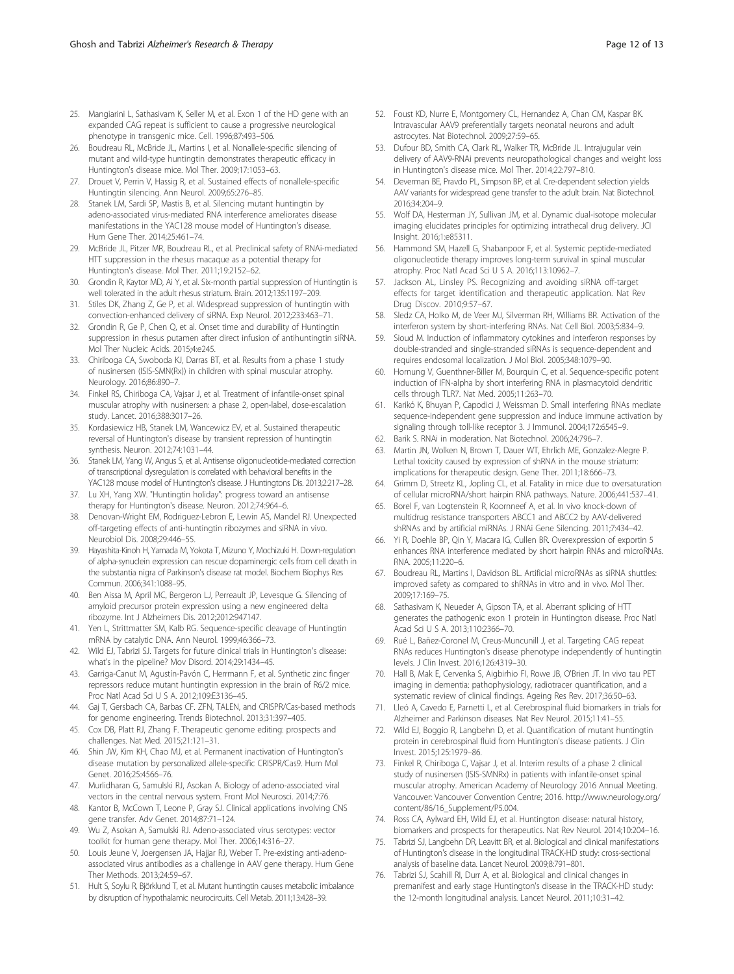- <span id="page-11-0"></span>25. Mangiarini L, Sathasivam K, Seller M, et al. Exon 1 of the HD gene with an expanded CAG repeat is sufficient to cause a progressive neurological phenotype in transgenic mice. Cell. 1996;87:493–506.
- 26. Boudreau RL, McBride JL, Martins I, et al. Nonallele-specific silencing of mutant and wild-type huntingtin demonstrates therapeutic efficacy in Huntington's disease mice. Mol Ther. 2009;17:1053–63.
- 27. Drouet V, Perrin V, Hassig R, et al. Sustained effects of nonallele-specific Huntingtin silencing. Ann Neurol. 2009;65:276–85.
- 28. Stanek LM, Sardi SP, Mastis B, et al. Silencing mutant huntingtin by adeno-associated virus-mediated RNA interference ameliorates disease manifestations in the YAC128 mouse model of Huntington's disease. Hum Gene Ther. 2014;25:461–74.
- 29. McBride JL, Pitzer MR, Boudreau RL, et al. Preclinical safety of RNAi-mediated HTT suppression in the rhesus macaque as a potential therapy for Huntington's disease. Mol Ther. 2011;19:2152–62.
- 30. Grondin R, Kaytor MD, Ai Y, et al. Six-month partial suppression of Huntingtin is well tolerated in the adult rhesus striatum. Brain. 2012;135:1197–209.
- 31. Stiles DK, Zhang Z, Ge P, et al. Widespread suppression of huntingtin with convection-enhanced delivery of siRNA. Exp Neurol. 2012;233:463–71.
- 32. Grondin R, Ge P, Chen Q, et al. Onset time and durability of Huntingtin suppression in rhesus putamen after direct infusion of antihuntingtin siRNA. Mol Ther Nucleic Acids. 2015;4:e245.
- 33. Chiriboga CA, Swoboda KJ, Darras BT, et al. Results from a phase 1 study of nusinersen (ISIS-SMN(Rx)) in children with spinal muscular atrophy. Neurology. 2016;86:890–7.
- 34. Finkel RS, Chiriboga CA, Vajsar J, et al. Treatment of infantile-onset spinal muscular atrophy with nusinersen: a phase 2, open-label, dose-escalation study. Lancet. 2016;388:3017–26.
- 35. Kordasiewicz HB, Stanek LM, Wancewicz EV, et al. Sustained therapeutic reversal of Huntington's disease by transient repression of huntingtin synthesis. Neuron. 2012;74:1031–44.
- 36. Stanek LM, Yang W, Angus S, et al. Antisense oligonucleotide-mediated correction of transcriptional dysregulation is correlated with behavioral benefits in the YAC128 mouse model of Huntington's disease. J Huntingtons Dis. 2013;2:217–28.
- 37. Lu XH, Yang XW. "Huntingtin holiday": progress toward an antisense therapy for Huntington's disease. Neuron. 2012;74:964–6.
- 38. Denovan-Wright EM, Rodriguez-Lebron E, Lewin AS, Mandel RJ. Unexpected off-targeting effects of anti-huntingtin ribozymes and siRNA in vivo. Neurobiol Dis. 2008;29:446–55.
- 39. Hayashita-Kinoh H, Yamada M, Yokota T, Mizuno Y, Mochizuki H. Down-regulation of alpha-synuclein expression can rescue dopaminergic cells from cell death in the substantia nigra of Parkinson's disease rat model. Biochem Biophys Res Commun. 2006;341:1088–95.
- 40. Ben Aissa M, April MC, Bergeron LJ, Perreault JP, Levesque G. Silencing of amyloid precursor protein expression using a new engineered delta ribozyme. Int J Alzheimers Dis. 2012;2012:947147.
- 41. Yen L, Strittmatter SM, Kalb RG. Sequence-specific cleavage of Huntingtin mRNA by catalytic DNA. Ann Neurol. 1999;46:366–73.
- 42. Wild EJ, Tabrizi SJ. Targets for future clinical trials in Huntington's disease: what's in the pipeline? Mov Disord. 2014;29:1434–45.
- 43. Garriga-Canut M, Agustín-Pavón C, Herrmann F, et al. Synthetic zinc finger repressors reduce mutant huntingtin expression in the brain of R6/2 mice. Proc Natl Acad Sci U S A. 2012;109:E3136–45.
- 44. Gaj T, Gersbach CA, Barbas CF. ZFN, TALEN, and CRISPR/Cas-based methods for genome engineering. Trends Biotechnol. 2013;31:397–405.
- 45. Cox DB, Platt RJ, Zhang F. Therapeutic genome editing: prospects and challenges. Nat Med. 2015;21:121–31.
- 46. Shin JW, Kim KH, Chao MJ, et al. Permanent inactivation of Huntington's disease mutation by personalized allele-specific CRISPR/Cas9. Hum Mol Genet. 2016;25:4566–76.
- 47. Murlidharan G, Samulski RJ, Asokan A. Biology of adeno-associated viral vectors in the central nervous system. Front Mol Neurosci. 2014;7:76.
- 48. Kantor B, McCown T, Leone P, Gray SJ. Clinical applications involving CNS gene transfer. Adv Genet. 2014;87:71–124.
- 49. Wu Z, Asokan A, Samulski RJ. Adeno-associated virus serotypes: vector toolkit for human gene therapy. Mol Ther. 2006;14:316–27.
- 50. Louis Jeune V, Joergensen JA, Hajjar RJ, Weber T. Pre-existing anti-adenoassociated virus antibodies as a challenge in AAV gene therapy. Hum Gene Ther Methods. 2013;24:59–67.
- 51. Hult S, Soylu R, Björklund T, et al. Mutant huntingtin causes metabolic imbalance by disruption of hypothalamic neurocircuits. Cell Metab. 2011;13:428–39.
- 52. Foust KD, Nurre E, Montgomery CL, Hernandez A, Chan CM, Kaspar BK. Intravascular AAV9 preferentially targets neonatal neurons and adult astrocytes. Nat Biotechnol. 2009;27:59–65.
- 53. Dufour BD, Smith CA, Clark RL, Walker TR, McBride JL. Intrajugular vein delivery of AAV9-RNAi prevents neuropathological changes and weight loss in Huntington's disease mice. Mol Ther. 2014;22:797–810.
- 54. Deverman BE, Pravdo PL, Simpson BP, et al. Cre-dependent selection yields AAV variants for widespread gene transfer to the adult brain. Nat Biotechnol. 2016;34:204–9.
- 55. Wolf DA, Hesterman JY, Sullivan JM, et al. Dynamic dual-isotope molecular imaging elucidates principles for optimizing intrathecal drug delivery. JCI Insight. 2016;1:e85311.
- 56. Hammond SM, Hazell G, Shabanpoor F, et al. Systemic peptide-mediated oligonucleotide therapy improves long-term survival in spinal muscular atrophy. Proc Natl Acad Sci U S A. 2016;113:10962–7.
- 57. Jackson AL, Linsley PS. Recognizing and avoiding siRNA off-target effects for target identification and therapeutic application. Nat Rev Drug Discov. 2010;9:57–67.
- 58. Sledz CA, Holko M, de Veer MJ, Silverman RH, Williams BR. Activation of the interferon system by short-interfering RNAs. Nat Cell Biol. 2003;5:834–9.
- 59. Sioud M. Induction of inflammatory cytokines and interferon responses by double-stranded and single-stranded siRNAs is sequence-dependent and requires endosomal localization. J Mol Biol. 2005;348:1079–90.
- 60. Hornung V, Guenthner-Biller M, Bourquin C, et al. Sequence-specific potent induction of IFN-alpha by short interfering RNA in plasmacytoid dendritic cells through TLR7. Nat Med. 2005;11:263–70.
- 61. Karikó K, Bhuyan P, Capodici J, Weissman D. Small interfering RNAs mediate sequence-independent gene suppression and induce immune activation by signaling through toll-like receptor 3. J Immunol. 2004;172:6545–9.
- 62. Barik S. RNAi in moderation. Nat Biotechnol. 2006;24:796–7.
- 63. Martin JN, Wolken N, Brown T, Dauer WT, Ehrlich ME, Gonzalez-Alegre P. Lethal toxicity caused by expression of shRNA in the mouse striatum: implications for therapeutic design. Gene Ther. 2011;18:666–73.
- 64. Grimm D, Streetz KL, Jopling CL, et al. Fatality in mice due to oversaturation of cellular microRNA/short hairpin RNA pathways. Nature. 2006;441:537–41.
- 65. Borel F, van Logtenstein R, Koornneef A, et al. In vivo knock-down of multidrug resistance transporters ABCC1 and ABCC2 by AAV-delivered shRNAs and by artificial miRNAs. J RNAi Gene Silencing. 2011;7:434–42.
- 66. Yi R, Doehle BP, Qin Y, Macara IG, Cullen BR. Overexpression of exportin 5 enhances RNA interference mediated by short hairpin RNAs and microRNAs. RNA. 2005;11:220–6.
- 67. Boudreau RL, Martins I, Davidson BL. Artificial microRNAs as siRNA shuttles: improved safety as compared to shRNAs in vitro and in vivo. Mol Ther. 2009;17:169–75.
- 68. Sathasivam K, Neueder A, Gipson TA, et al. Aberrant splicing of HTT generates the pathogenic exon 1 protein in Huntington disease. Proc Natl Acad Sci U S A. 2013;110:2366–70.
- 69. Rué L, Bañez-Coronel M, Creus-Muncunill J, et al. Targeting CAG repeat RNAs reduces Huntington's disease phenotype independently of huntingtin levels. J Clin Invest. 2016;126:4319–30.
- 70. Hall B, Mak E, Cervenka S, Aigbirhio FI, Rowe JB, O'Brien JT. In vivo tau PET imaging in dementia: pathophysiology, radiotracer quantification, and a systematic review of clinical findings. Ageing Res Rev. 2017;36:50–63.
- 71. Lleó A, Cavedo E, Parnetti L, et al. Cerebrospinal fluid biomarkers in trials for Alzheimer and Parkinson diseases. Nat Rev Neurol. 2015;11:41–55.
- 72. Wild EJ, Boggio R, Langbehn D, et al. Quantification of mutant huntingtin protein in cerebrospinal fluid from Huntington's disease patients. J Clin Invest. 2015;125:1979–86.
- 73. Finkel R, Chiriboga C, Vajsar J, et al. Interim results of a phase 2 clinical study of nusinersen (ISIS-SMNRx) in patients with infantile-onset spinal muscular atrophy. American Academy of Neurology 2016 Annual Meeting. Vancouver: Vancouver Convention Centre; 2016. [http://www.neurology.org/](http://www.neurology.org/content/86/16_Supplement/P5.004) [content/86/16\\_Supplement/P5.004.](http://www.neurology.org/content/86/16_Supplement/P5.004)
- 74. Ross CA, Aylward EH, Wild EJ, et al. Huntington disease: natural history, biomarkers and prospects for therapeutics. Nat Rev Neurol. 2014;10:204–16.
- 75. Tabrizi SJ, Langbehn DR, Leavitt BR, et al. Biological and clinical manifestations of Huntington's disease in the longitudinal TRACK-HD study: cross-sectional analysis of baseline data. Lancet Neurol. 2009;8:791–801.
- 76. Tabrizi SJ, Scahill RI, Durr A, et al. Biological and clinical changes in premanifest and early stage Huntington's disease in the TRACK-HD study: the 12-month longitudinal analysis. Lancet Neurol. 2011;10:31–42.